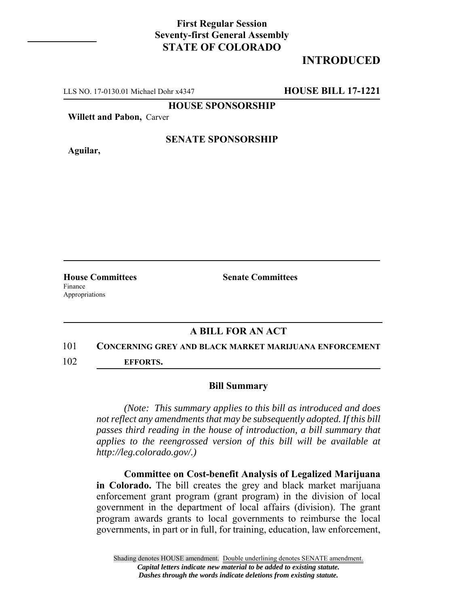### **First Regular Session Seventy-first General Assembly STATE OF COLORADO**

# **INTRODUCED**

LLS NO. 17-0130.01 Michael Dohr x4347 **HOUSE BILL 17-1221**

#### **HOUSE SPONSORSHIP**

**Willett and Pabon,** Carver

**Aguilar,**

#### **SENATE SPONSORSHIP**

Finance Appropriations

**House Committees Senate Committees** 

## **A BILL FOR AN ACT**

#### 101 **CONCERNING GREY AND BLACK MARKET MARIJUANA ENFORCEMENT**

102 **EFFORTS.**

#### **Bill Summary**

*(Note: This summary applies to this bill as introduced and does not reflect any amendments that may be subsequently adopted. If this bill passes third reading in the house of introduction, a bill summary that applies to the reengrossed version of this bill will be available at http://leg.colorado.gov/.)*

**Committee on Cost-benefit Analysis of Legalized Marijuana in Colorado.** The bill creates the grey and black market marijuana enforcement grant program (grant program) in the division of local government in the department of local affairs (division). The grant program awards grants to local governments to reimburse the local governments, in part or in full, for training, education, law enforcement,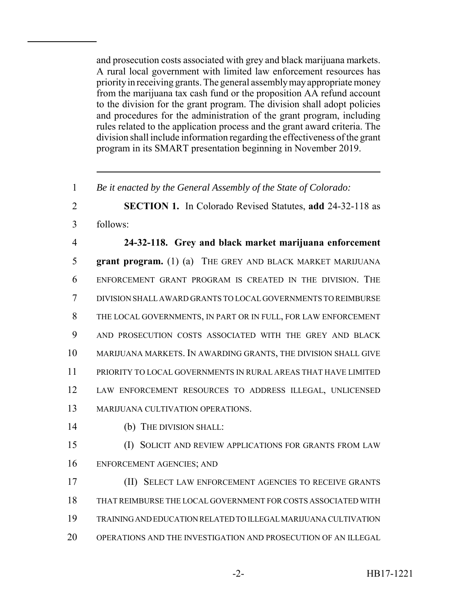and prosecution costs associated with grey and black marijuana markets. A rural local government with limited law enforcement resources has priority in receiving grants. The general assembly may appropriate money from the marijuana tax cash fund or the proposition AA refund account to the division for the grant program. The division shall adopt policies and procedures for the administration of the grant program, including rules related to the application process and the grant award criteria. The division shall include information regarding the effectiveness of the grant program in its SMART presentation beginning in November 2019.

*Be it enacted by the General Assembly of the State of Colorado:*

 **SECTION 1.** In Colorado Revised Statutes, **add** 24-32-118 as follows:

 **24-32-118. Grey and black market marijuana enforcement grant program.** (1) (a) THE GREY AND BLACK MARKET MARIJUANA ENFORCEMENT GRANT PROGRAM IS CREATED IN THE DIVISION. THE DIVISION SHALL AWARD GRANTS TO LOCAL GOVERNMENTS TO REIMBURSE THE LOCAL GOVERNMENTS, IN PART OR IN FULL, FOR LAW ENFORCEMENT AND PROSECUTION COSTS ASSOCIATED WITH THE GREY AND BLACK MARIJUANA MARKETS. IN AWARDING GRANTS, THE DIVISION SHALL GIVE PRIORITY TO LOCAL GOVERNMENTS IN RURAL AREAS THAT HAVE LIMITED LAW ENFORCEMENT RESOURCES TO ADDRESS ILLEGAL, UNLICENSED MARIJUANA CULTIVATION OPERATIONS.

(b) THE DIVISION SHALL:

 (I) SOLICIT AND REVIEW APPLICATIONS FOR GRANTS FROM LAW ENFORCEMENT AGENCIES; AND

 (II) SELECT LAW ENFORCEMENT AGENCIES TO RECEIVE GRANTS THAT REIMBURSE THE LOCAL GOVERNMENT FOR COSTS ASSOCIATED WITH TRAINING AND EDUCATION RELATED TO ILLEGAL MARIJUANA CULTIVATION OPERATIONS AND THE INVESTIGATION AND PROSECUTION OF AN ILLEGAL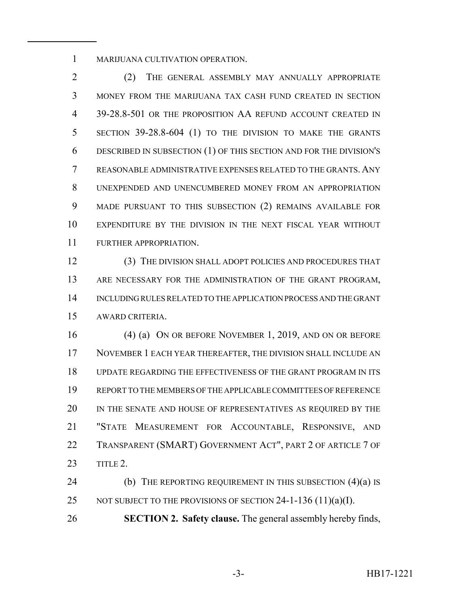MARIJUANA CULTIVATION OPERATION.

 (2) THE GENERAL ASSEMBLY MAY ANNUALLY APPROPRIATE MONEY FROM THE MARIJUANA TAX CASH FUND CREATED IN SECTION 39-28.8-501 OR THE PROPOSITION AA REFUND ACCOUNT CREATED IN SECTION 39-28.8-604 (1) TO THE DIVISION TO MAKE THE GRANTS DESCRIBED IN SUBSECTION (1) OF THIS SECTION AND FOR THE DIVISION'S REASONABLE ADMINISTRATIVE EXPENSES RELATED TO THE GRANTS. ANY UNEXPENDED AND UNENCUMBERED MONEY FROM AN APPROPRIATION MADE PURSUANT TO THIS SUBSECTION (2) REMAINS AVAILABLE FOR EXPENDITURE BY THE DIVISION IN THE NEXT FISCAL YEAR WITHOUT FURTHER APPROPRIATION.

 (3) THE DIVISION SHALL ADOPT POLICIES AND PROCEDURES THAT 13 ARE NECESSARY FOR THE ADMINISTRATION OF THE GRANT PROGRAM, INCLUDING RULES RELATED TO THE APPLICATION PROCESS AND THE GRANT AWARD CRITERIA.

 (4) (a) ON OR BEFORE NOVEMBER 1, 2019, AND ON OR BEFORE NOVEMBER 1 EACH YEAR THEREAFTER, THE DIVISION SHALL INCLUDE AN UPDATE REGARDING THE EFFECTIVENESS OF THE GRANT PROGRAM IN ITS REPORT TO THE MEMBERS OF THE APPLICABLE COMMITTEES OF REFERENCE 20 IN THE SENATE AND HOUSE OF REPRESENTATIVES AS REQUIRED BY THE "STATE MEASUREMENT FOR ACCOUNTABLE, RESPONSIVE, AND TRANSPARENT (SMART) GOVERNMENT ACT", PART 2 OF ARTICLE 7 OF TITLE 2.

**(b)** THE REPORTING REQUIREMENT IN THIS SUBSECTION (4)(a) IS 25 NOT SUBJECT TO THE PROVISIONS OF SECTION -1-136 (11)(a)(I).

**SECTION 2. Safety clause.** The general assembly hereby finds,